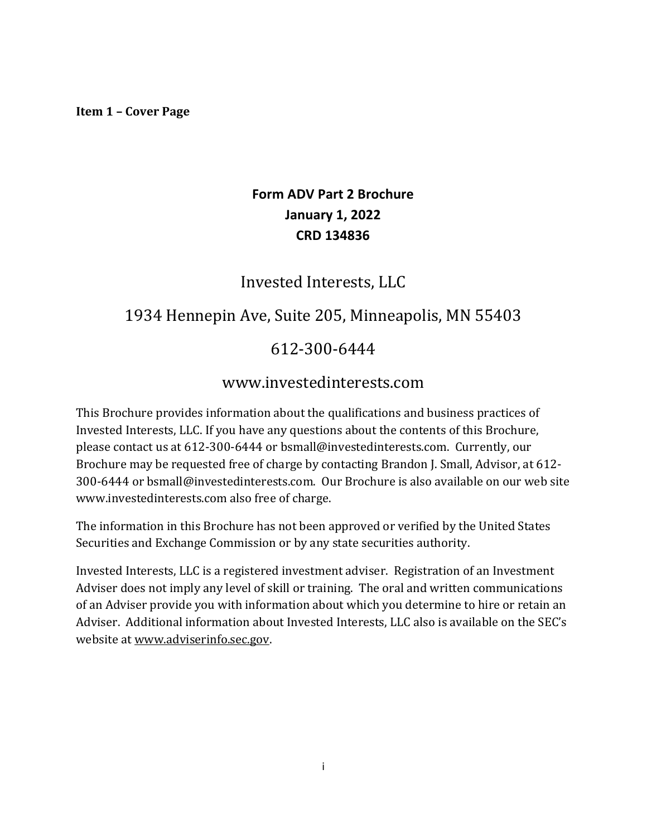#### **Item 1 – Cover Page**

# **Form ADV Part 2 Brochure January 1, 2022 CRD 134836**

# Invested Interests, LLC

# 1934 Hennepin Ave, Suite 205, Minneapolis, MN 55403

# 612-300-6444

# www.investedinterests.com

This Brochure provides information about the qualifications and business practices of Invested Interests, LLC. If you have any questions about the contents of this Brochure, please contact us at 612-300-6444 or bsmall@investedinterests.com. Currently, our Brochure may be requested free of charge by contacting Brandon J. Small, Advisor, at 612-300-6444 or bsmall@investedinterests.com. Our Brochure is also available on our web site www.investedinterests.com also free of charge.

The information in this Brochure has not been approved or verified by the United States Securities and Exchange Commission or by any state securities authority.

Invested Interests, LLC is a registered investment adviser. Registration of an Investment Adviser does not imply any level of skill or training. The oral and written communications of an Adviser provide you with information about which you determine to hire or retain an Adviser. Additional information about Invested Interests, LLC also is available on the SEC's website at www.adviserinfo.sec.gov.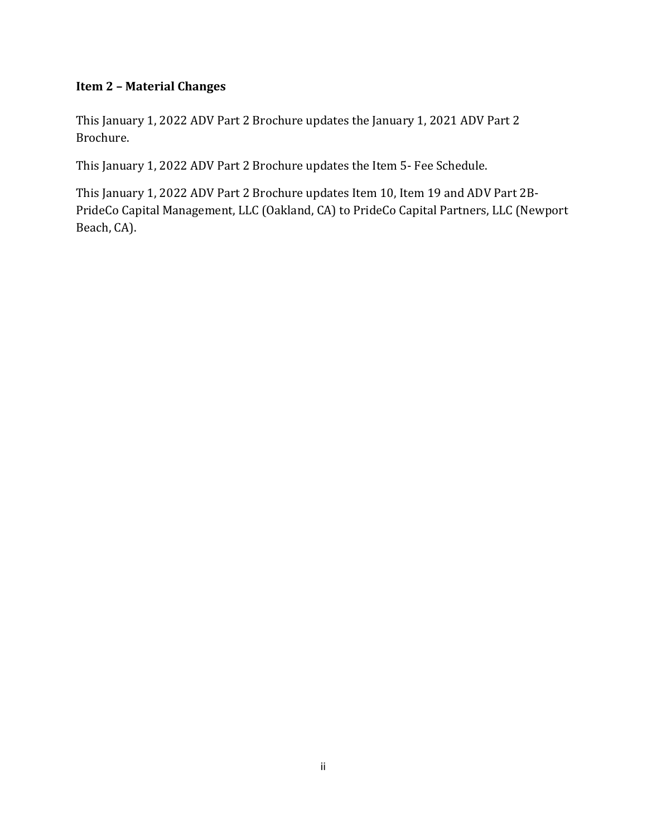### **Item 2 – Material Changes**

This January 1, 2022 ADV Part 2 Brochure updates the January 1, 2021 ADV Part 2 Brochure.

This January 1, 2022 ADV Part 2 Brochure updates the Item 5- Fee Schedule.

This January 1, 2022 ADV Part 2 Brochure updates Item 10, Item 19 and ADV Part 2B-PrideCo Capital Management, LLC (Oakland, CA) to PrideCo Capital Partners, LLC (Newport Beach, CA).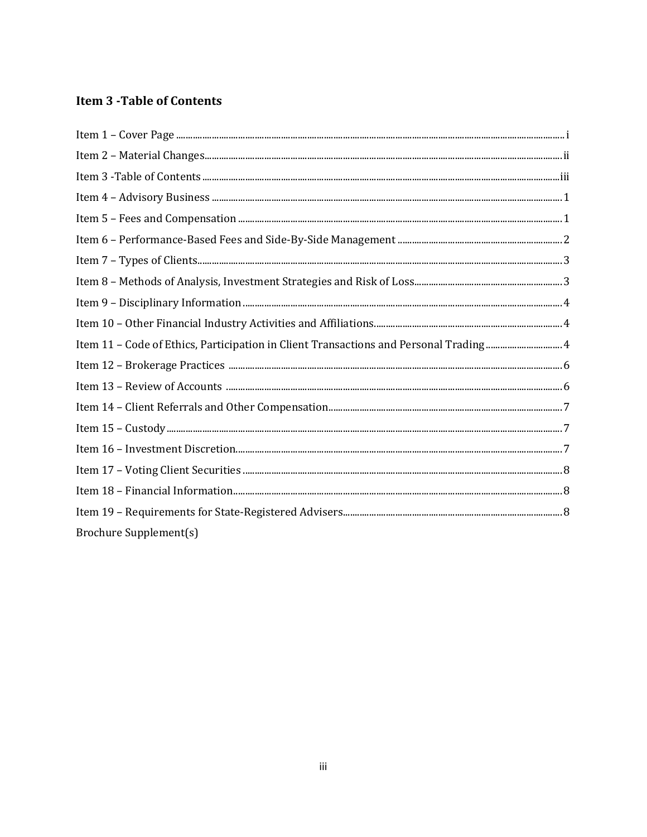# **Item 3 - Table of Contents**

| Item 11 - Code of Ethics, Participation in Client Transactions and Personal Trading 4 |
|---------------------------------------------------------------------------------------|
|                                                                                       |
|                                                                                       |
|                                                                                       |
|                                                                                       |
|                                                                                       |
|                                                                                       |
|                                                                                       |
|                                                                                       |
| <b>Brochure Supplement(s)</b>                                                         |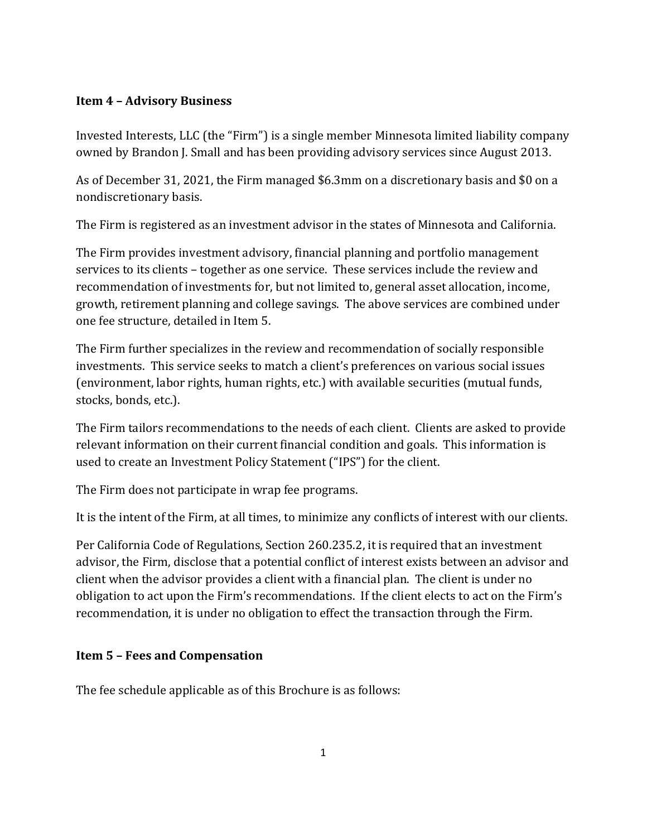#### **Item 4 – Advisory Business**

Invested Interests, LLC (the "Firm") is a single member Minnesota limited liability company owned by Brandon J. Small and has been providing advisory services since August 2013.

As of December 31, 2021, the Firm managed \$6.3mm on a discretionary basis and \$0 on a nondiscretionary basis.

The Firm is registered as an investment advisor in the states of Minnesota and California.

The Firm provides investment advisory, financial planning and portfolio management services to its clients – together as one service. These services include the review and recommendation of investments for, but not limited to, general asset allocation, income, growth, retirement planning and college savings. The above services are combined under one fee structure, detailed in Item 5.

The Firm further specializes in the review and recommendation of socially responsible investments. This service seeks to match a client's preferences on various social issues (environment, labor rights, human rights, etc.) with available securities (mutual funds, stocks, bonds, etc.).

The Firm tailors recommendations to the needs of each client. Clients are asked to provide relevant information on their current financial condition and goals. This information is used to create an Investment Policy Statement ("IPS") for the client.

The Firm does not participate in wrap fee programs.

It is the intent of the Firm, at all times, to minimize any conflicts of interest with our clients.

Per California Code of Regulations, Section 260.235.2, it is required that an investment advisor, the Firm, disclose that a potential conflict of interest exists between an advisor and client when the advisor provides a client with a financial plan. The client is under no obligation to act upon the Firm's recommendations. If the client elects to act on the Firm's recommendation, it is under no obligation to effect the transaction through the Firm.

#### **Item 5 – Fees and Compensation**

The fee schedule applicable as of this Brochure is as follows: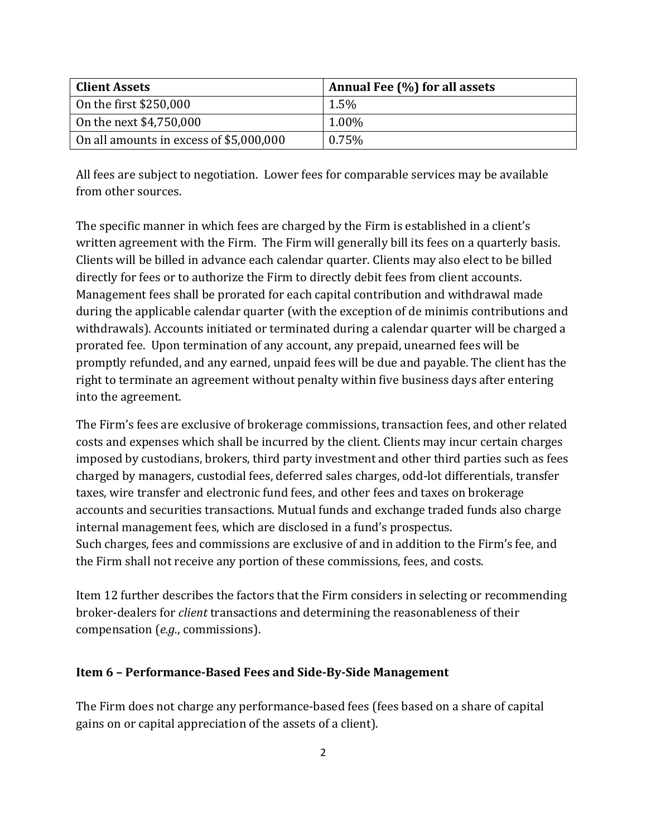| <b>Client Assets</b>                     | Annual Fee (%) for all assets |
|------------------------------------------|-------------------------------|
| On the first $$250,000$                  | $1.5\%$                       |
| On the next \$4,750,000                  | $1.00\%$                      |
| On all amounts in excess of $$5,000,000$ | 0.75%                         |

All fees are subject to negotiation. Lower fees for comparable services may be available from other sources.

The specific manner in which fees are charged by the Firm is established in a client's written agreement with the Firm. The Firm will generally bill its fees on a quarterly basis. Clients will be billed in advance each calendar quarter. Clients may also elect to be billed directly for fees or to authorize the Firm to directly debit fees from client accounts. Management fees shall be prorated for each capital contribution and withdrawal made during the applicable calendar quarter (with the exception of de minimis contributions and withdrawals). Accounts initiated or terminated during a calendar quarter will be charged a prorated fee. Upon termination of any account, any prepaid, unearned fees will be promptly refunded, and any earned, unpaid fees will be due and payable. The client has the right to terminate an agreement without penalty within five business days after entering into the agreement.

The Firm's fees are exclusive of brokerage commissions, transaction fees, and other related costs and expenses which shall be incurred by the client. Clients may incur certain charges imposed by custodians, brokers, third party investment and other third parties such as fees charged by managers, custodial fees, deferred sales charges, odd-lot differentials, transfer taxes, wire transfer and electronic fund fees, and other fees and taxes on brokerage accounts and securities transactions. Mutual funds and exchange traded funds also charge internal management fees, which are disclosed in a fund's prospectus. Such charges, fees and commissions are exclusive of and in addition to the Firm's fee, and the Firm shall not receive any portion of these commissions, fees, and costs.

Item 12 further describes the factors that the Firm considers in selecting or recommending broker-dealers for *client* transactions and determining the reasonableness of their compensation (*e.g.*, commissions).

#### **Item 6 - Performance-Based Fees and Side-By-Side Management**

The Firm does not charge any performance-based fees (fees based on a share of capital gains on or capital appreciation of the assets of a client).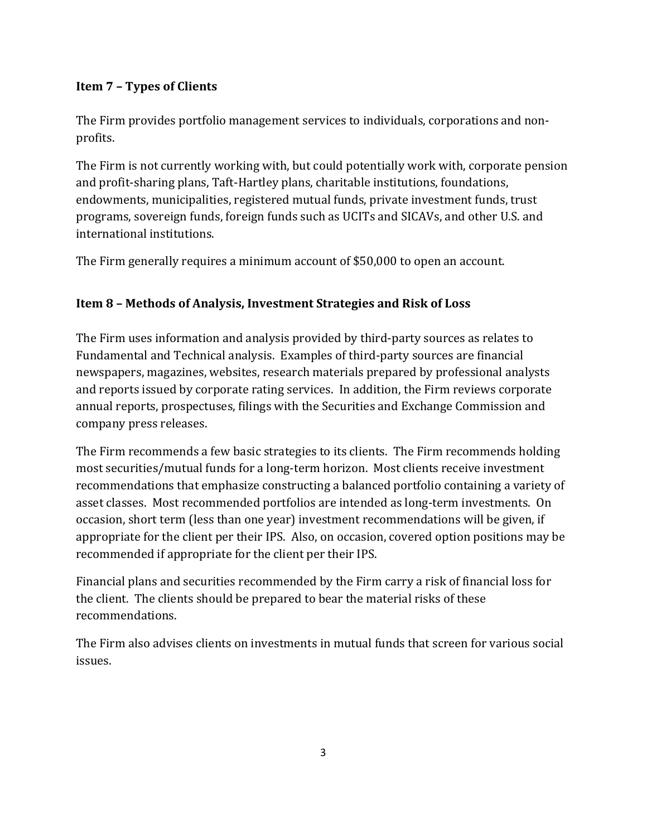# **Item 7 – Types of Clients**

The Firm provides portfolio management services to individuals, corporations and nonprofits.

The Firm is not currently working with, but could potentially work with, corporate pension and profit-sharing plans, Taft-Hartley plans, charitable institutions, foundations, endowments, municipalities, registered mutual funds, private investment funds, trust programs, sovereign funds, foreign funds such as UCITs and SICAVs, and other U.S. and international institutions.

The Firm generally requires a minimum account of \$50,000 to open an account.

# **Item 8 – Methods of Analysis, Investment Strategies and Risk of Loss**

The Firm uses information and analysis provided by third-party sources as relates to Fundamental and Technical analysis. Examples of third-party sources are financial newspapers, magazines, websites, research materials prepared by professional analysts and reports issued by corporate rating services. In addition, the Firm reviews corporate annual reports, prospectuses, filings with the Securities and Exchange Commission and company press releases.

The Firm recommends a few basic strategies to its clients. The Firm recommends holding most securities/mutual funds for a long-term horizon. Most clients receive investment recommendations that emphasize constructing a balanced portfolio containing a variety of asset classes. Most recommended portfolios are intended as long-term investments. On occasion, short term (less than one year) investment recommendations will be given, if appropriate for the client per their IPS. Also, on occasion, covered option positions may be recommended if appropriate for the client per their IPS.

Financial plans and securities recommended by the Firm carry a risk of financial loss for the client. The clients should be prepared to bear the material risks of these recommendations. 

The Firm also advises clients on investments in mutual funds that screen for various social issues.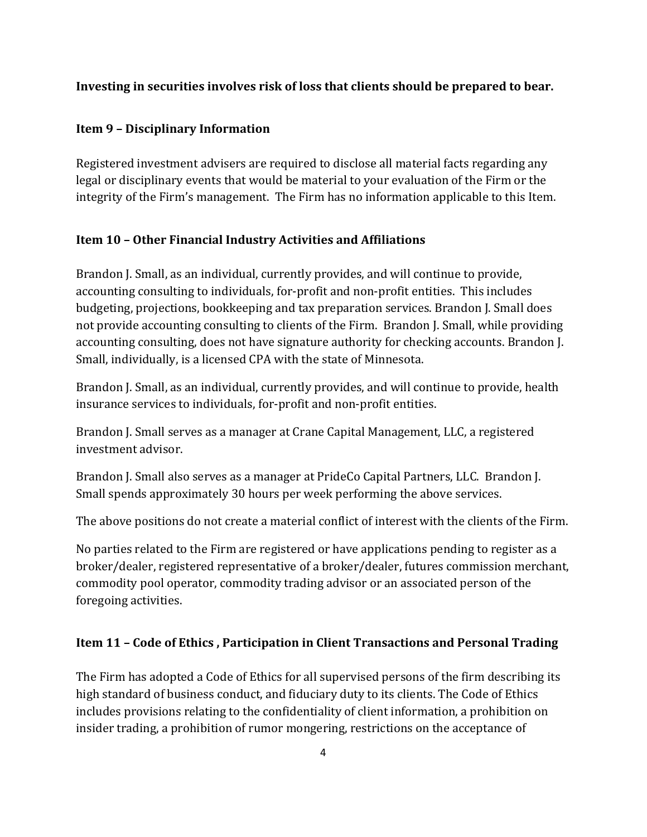### **Investing in securities involves risk of loss that clients should be prepared to bear.**

#### **Item 9 – Disciplinary Information**

Registered investment advisers are required to disclose all material facts regarding any legal or disciplinary events that would be material to your evaluation of the Firm or the integrity of the Firm's management. The Firm has no information applicable to this Item.

### **Item 10 - Other Financial Industry Activities and Affiliations**

Brandon J. Small, as an individual, currently provides, and will continue to provide, accounting consulting to individuals, for-profit and non-profit entities. This includes budgeting, projections, bookkeeping and tax preparation services. Brandon J. Small does not provide accounting consulting to clients of the Firm. Brandon J. Small, while providing accounting consulting, does not have signature authority for checking accounts. Brandon J. Small, individually, is a licensed CPA with the state of Minnesota.

Brandon J. Small, as an individual, currently provides, and will continue to provide, health insurance services to individuals, for-profit and non-profit entities.

Brandon J. Small serves as a manager at Crane Capital Management, LLC, a registered investment advisor.

Brandon J. Small also serves as a manager at PrideCo Capital Partners, LLC. Brandon J. Small spends approximately 30 hours per week performing the above services.

The above positions do not create a material conflict of interest with the clients of the Firm.

No parties related to the Firm are registered or have applications pending to register as a broker/dealer, registered representative of a broker/dealer, futures commission merchant, commodity pool operator, commodity trading advisor or an associated person of the foregoing activities.

### **Item 11 - Code of Ethics, Participation in Client Transactions and Personal Trading**

The Firm has adopted a Code of Ethics for all supervised persons of the firm describing its high standard of business conduct, and fiduciary duty to its clients. The Code of Ethics includes provisions relating to the confidentiality of client information, a prohibition on insider trading, a prohibition of rumor mongering, restrictions on the acceptance of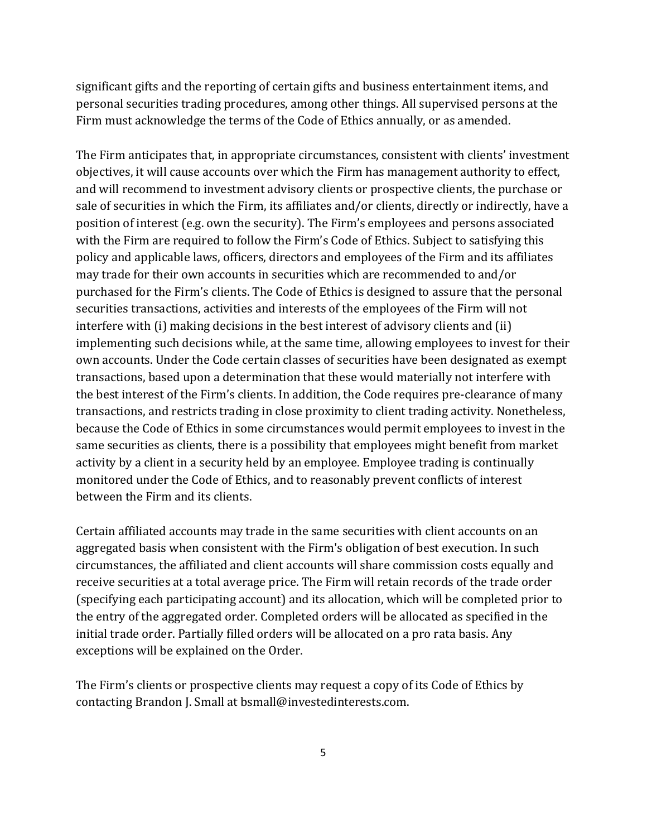significant gifts and the reporting of certain gifts and business entertainment items, and personal securities trading procedures, among other things. All supervised persons at the Firm must acknowledge the terms of the Code of Ethics annually, or as amended.

The Firm anticipates that, in appropriate circumstances, consistent with clients' investment objectives, it will cause accounts over which the Firm has management authority to effect, and will recommend to investment advisory clients or prospective clients, the purchase or sale of securities in which the Firm, its affiliates and/or clients, directly or indirectly, have a position of interest (e.g. own the security). The Firm's employees and persons associated with the Firm are required to follow the Firm's Code of Ethics. Subject to satisfying this policy and applicable laws, officers, directors and employees of the Firm and its affiliates may trade for their own accounts in securities which are recommended to and/or purchased for the Firm's clients. The Code of Ethics is designed to assure that the personal securities transactions, activities and interests of the employees of the Firm will not interfere with  $(i)$  making decisions in the best interest of advisory clients and  $(ii)$ implementing such decisions while, at the same time, allowing employees to invest for their own accounts. Under the Code certain classes of securities have been designated as exempt transactions, based upon a determination that these would materially not interfere with the best interest of the Firm's clients. In addition, the Code requires pre-clearance of many transactions, and restricts trading in close proximity to client trading activity. Nonetheless, because the Code of Ethics in some circumstances would permit employees to invest in the same securities as clients, there is a possibility that employees might benefit from market activity by a client in a security held by an employee. Employee trading is continually monitored under the Code of Ethics, and to reasonably prevent conflicts of interest between the Firm and its clients.

Certain affiliated accounts may trade in the same securities with client accounts on an aggregated basis when consistent with the Firm's obligation of best execution. In such circumstances, the affiliated and client accounts will share commission costs equally and receive securities at a total average price. The Firm will retain records of the trade order (specifying each participating account) and its allocation, which will be completed prior to the entry of the aggregated order. Completed orders will be allocated as specified in the initial trade order. Partially filled orders will be allocated on a pro rata basis. Any exceptions will be explained on the Order.

The Firm's clients or prospective clients may request a copy of its Code of Ethics by contacting Brandon J. Small at bsmall@investedinterests.com.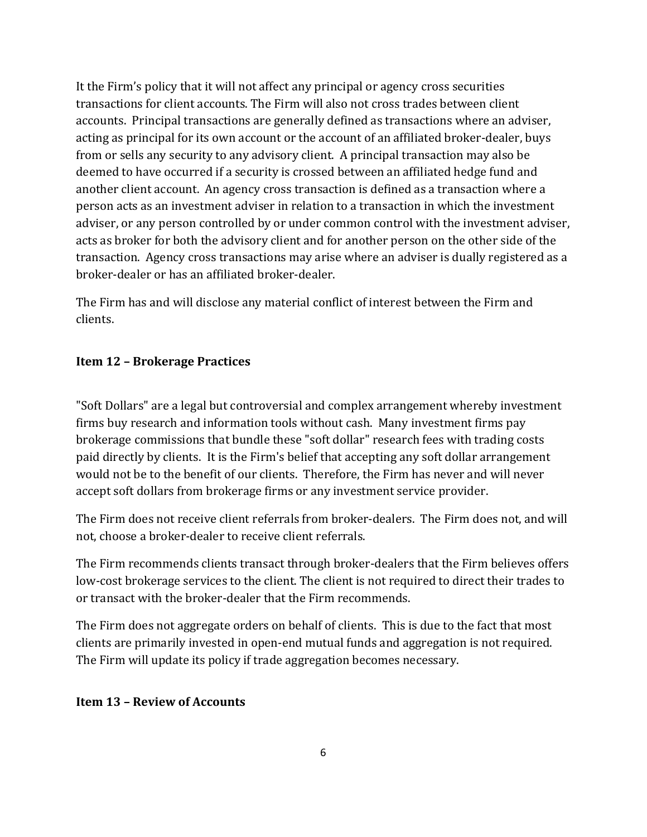It the Firm's policy that it will not affect any principal or agency cross securities transactions for client accounts. The Firm will also not cross trades between client accounts. Principal transactions are generally defined as transactions where an adviser, acting as principal for its own account or the account of an affiliated broker-dealer, buys from or sells any security to any advisory client. A principal transaction may also be deemed to have occurred if a security is crossed between an affiliated hedge fund and another client account. An agency cross transaction is defined as a transaction where a person acts as an investment adviser in relation to a transaction in which the investment adviser, or any person controlled by or under common control with the investment adviser, acts as broker for both the advisory client and for another person on the other side of the transaction. Agency cross transactions may arise where an adviser is dually registered as a broker-dealer or has an affiliated broker-dealer.

The Firm has and will disclose any material conflict of interest between the Firm and clients.

# **Item 12 – Brokerage Practices**

"Soft Dollars" are a legal but controversial and complex arrangement whereby investment firms buy research and information tools without cash. Many investment firms pay brokerage commissions that bundle these "soft dollar" research fees with trading costs paid directly by clients. It is the Firm's belief that accepting any soft dollar arrangement would not be to the benefit of our clients. Therefore, the Firm has never and will never accept soft dollars from brokerage firms or any investment service provider.

The Firm does not receive client referrals from broker-dealers. The Firm does not, and will not, choose a broker-dealer to receive client referrals.

The Firm recommends clients transact through broker-dealers that the Firm believes offers low-cost brokerage services to the client. The client is not required to direct their trades to or transact with the broker-dealer that the Firm recommends.

The Firm does not aggregate orders on behalf of clients. This is due to the fact that most clients are primarily invested in open-end mutual funds and aggregation is not required. The Firm will update its policy if trade aggregation becomes necessary.

### **Item 13 – Review of Accounts**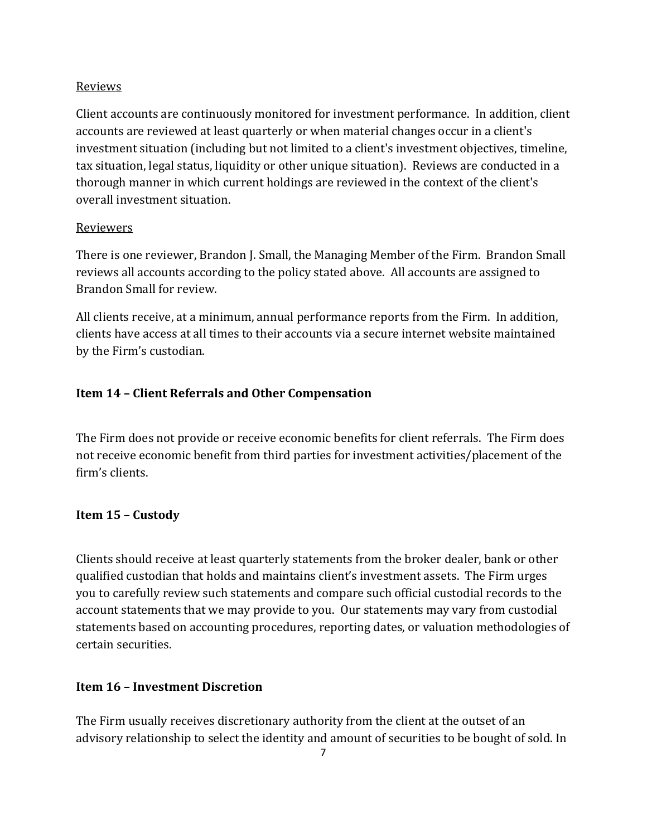#### Reviews

Client accounts are continuously monitored for investment performance. In addition, client accounts are reviewed at least quarterly or when material changes occur in a client's investment situation (including but not limited to a client's investment objectives, timeline, tax situation, legal status, liquidity or other unique situation). Reviews are conducted in a thorough manner in which current holdings are reviewed in the context of the client's overall investment situation.

#### Reviewers

There is one reviewer, Brandon J. Small, the Managing Member of the Firm. Brandon Small reviews all accounts according to the policy stated above. All accounts are assigned to Brandon Small for review.

All clients receive, at a minimum, annual performance reports from the Firm. In addition, clients have access at all times to their accounts via a secure internet website maintained by the Firm's custodian.

### **Item 14 – Client Referrals and Other Compensation**

The Firm does not provide or receive economic benefits for client referrals. The Firm does not receive economic benefit from third parties for investment activities/placement of the firm's clients.

### **Item 15 – Custody**

Clients should receive at least quarterly statements from the broker dealer, bank or other qualified custodian that holds and maintains client's investment assets. The Firm urges you to carefully review such statements and compare such official custodial records to the account statements that we may provide to you. Our statements may vary from custodial statements based on accounting procedures, reporting dates, or valuation methodologies of certain securities. 

### **Item 16 – Investment Discretion**

The Firm usually receives discretionary authority from the client at the outset of an advisory relationship to select the identity and amount of securities to be bought of sold. In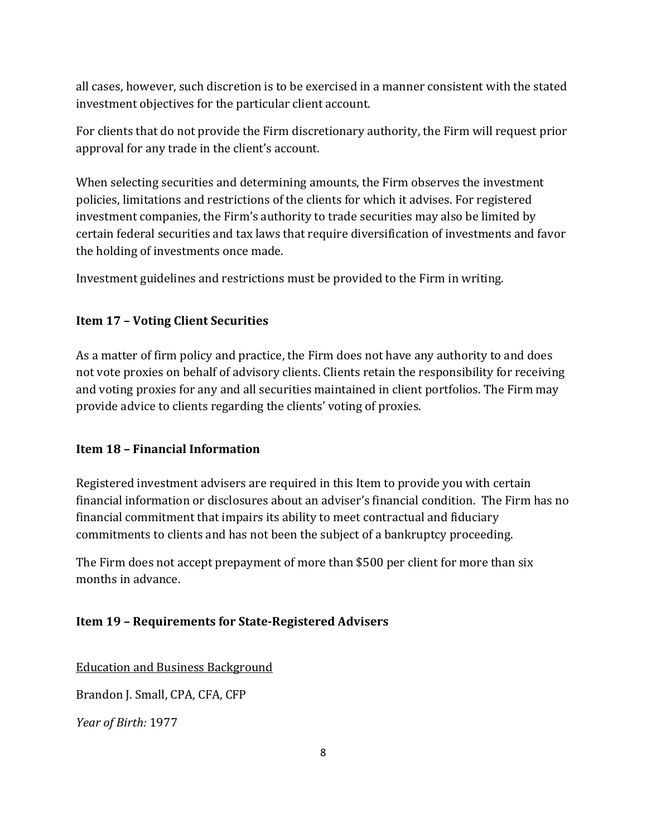all cases, however, such discretion is to be exercised in a manner consistent with the stated investment objectives for the particular client account.

For clients that do not provide the Firm discretionary authority, the Firm will request prior approval for any trade in the client's account.

When selecting securities and determining amounts, the Firm observes the investment policies, limitations and restrictions of the clients for which it advises. For registered investment companies, the Firm's authority to trade securities may also be limited by certain federal securities and tax laws that require diversification of investments and favor the holding of investments once made.

Investment guidelines and restrictions must be provided to the Firm in writing.

#### **Item 17 – Voting Client Securities**

As a matter of firm policy and practice, the Firm does not have any authority to and does not vote proxies on behalf of advisory clients. Clients retain the responsibility for receiving and voting proxies for any and all securities maintained in client portfolios. The Firm may provide advice to clients regarding the clients' voting of proxies.

#### **Item 18 – Financial Information**

Registered investment advisers are required in this Item to provide you with certain financial information or disclosures about an adviser's financial condition. The Firm has no financial commitment that impairs its ability to meet contractual and fiduciary commitments to clients and has not been the subject of a bankruptcy proceeding.

The Firm does not accept prepayment of more than \$500 per client for more than six months in advance.

### **Item 19 - Requirements for State-Registered Advisers**

**Education and Business Background** 

Brandon J. Small, CPA, CFA, CFP

*Year of Birth:* 1977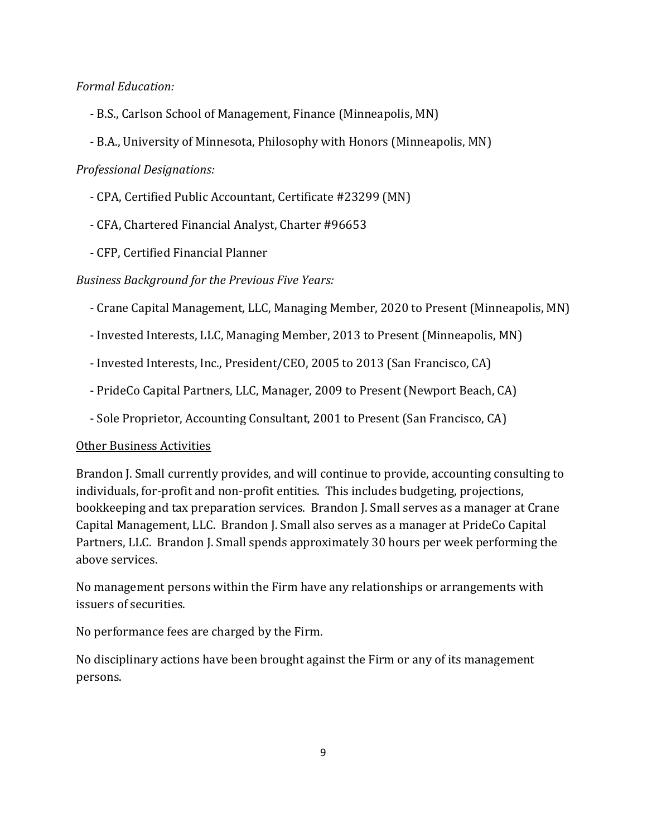*Formal Education:*

- B.S., Carlson School of Management, Finance (Minneapolis, MN)
- B.A., University of Minnesota, Philosophy with Honors (Minneapolis, MN)

#### *Professional Designations:*

- CPA, Certified Public Accountant, Certificate #23299 (MN)
- CFA, Chartered Financial Analyst, Charter #96653
- CFP, Certified Financial Planner

*Business Background for the Previous Five Years:*

- Crane Capital Management, LLC, Managing Member, 2020 to Present (Minneapolis, MN)
- Invested Interests, LLC, Managing Member, 2013 to Present (Minneapolis, MN)
- Invested Interests, Inc., President/CEO, 2005 to 2013 (San Francisco, CA)
- PrideCo Capital Partners, LLC, Manager, 2009 to Present (Newport Beach, CA)
- Sole Proprietor, Accounting Consultant, 2001 to Present (San Francisco, CA)

#### Other Business Activities

Brandon J. Small currently provides, and will continue to provide, accounting consulting to individuals, for-profit and non-profit entities. This includes budgeting, projections, bookkeeping and tax preparation services. Brandon J. Small serves as a manager at Crane Capital Management, LLC. Brandon J. Small also serves as a manager at PrideCo Capital Partners, LLC. Brandon J. Small spends approximately 30 hours per week performing the above services.

No management persons within the Firm have any relationships or arrangements with issuers of securities.

No performance fees are charged by the Firm.

No disciplinary actions have been brought against the Firm or any of its management persons.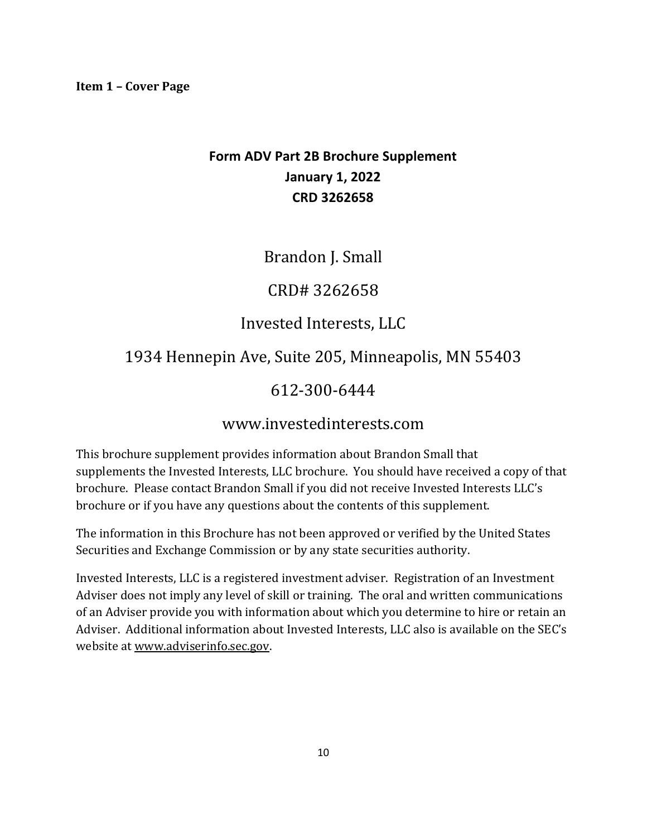# **Form ADV Part 2B Brochure Supplement January 1, 2022 CRD 3262658**

Brandon J. Small

CRD# 3262658

# Invested Interests, LLC

# 1934 Hennepin Ave, Suite 205, Minneapolis, MN 55403

# 612-300-6444

# www.investedinterests.com

This brochure supplement provides information about Brandon Small that supplements the Invested Interests, LLC brochure. You should have received a copy of that brochure. Please contact Brandon Small if you did not receive Invested Interests LLC's brochure or if you have any questions about the contents of this supplement.

The information in this Brochure has not been approved or verified by the United States Securities and Exchange Commission or by any state securities authority.

Invested Interests, LLC is a registered investment adviser. Registration of an Investment Adviser does not imply any level of skill or training. The oral and written communications of an Adviser provide you with information about which you determine to hire or retain an Adviser. Additional information about Invested Interests, LLC also is available on the SEC's website at www.adviserinfo.sec.gov.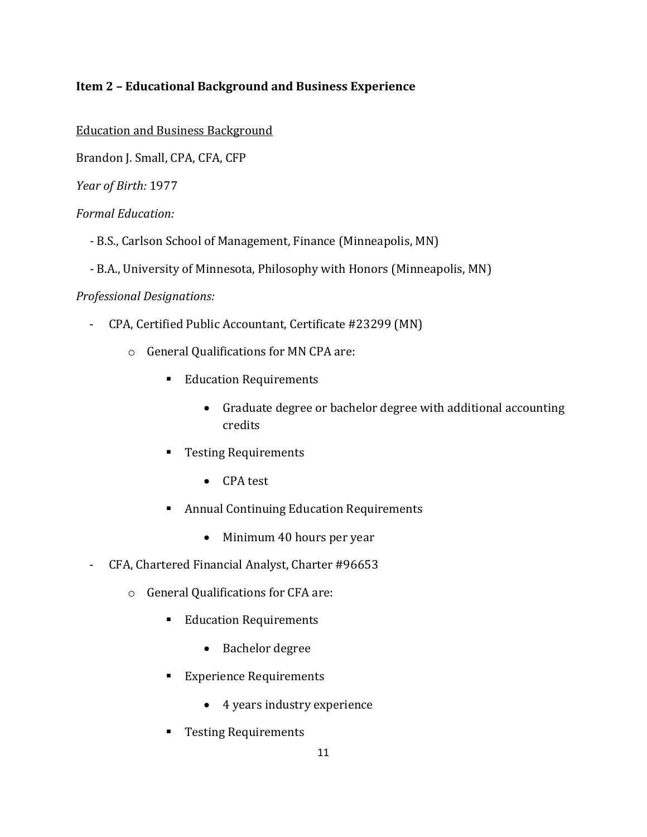# **Item 2 – Educational Background and Business Experience**

**Education and Business Background** 

Brandon J. Small, CPA, CFA, CFP

*Year of Birth:* 1977

#### *Formal Education:*

- B.S., Carlson School of Management, Finance (Minneapolis, MN)
- B.A., University of Minnesota, Philosophy with Honors (Minneapolis, MN)

#### *Professional Designations:*

- CPA, Certified Public Accountant, Certificate #23299 (MN)
	- $\circ$  General Qualifications for MN CPA are:
		- Education Requirements
			- Graduate degree or bachelor degree with additional accounting credits
		- Testing Requirements
			- CPA test
		- Annual Continuing Education Requirements
			- Minimum 40 hours per year
- CFA, Chartered Financial Analyst, Charter #96653
	- o General Qualifications for CFA are:
		- Education Requirements
			- Bachelor degree
		- Experience Requirements
			- 4 years industry experience
		- Testing Requirements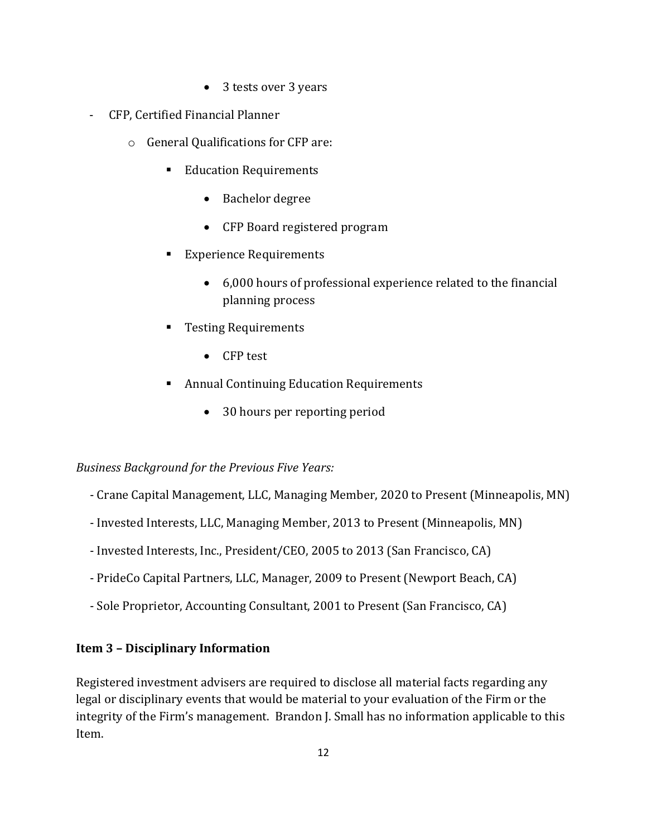- 3 tests over 3 years
- CFP, Certified Financial Planner
	- $\circ$  General Qualifications for CFP are:
		- Education Requirements
			- Bachelor degree
			- CFP Board registered program
		- Experience Requirements
			- $\bullet$  6,000 hours of professional experience related to the financial planning process
		- Testing Requirements
			- CFP test
		- Annual Continuing Education Requirements
			- 30 hours per reporting period

#### *Business Background for the Previous Five Years:*

- Crane Capital Management, LLC, Managing Member, 2020 to Present (Minneapolis, MN)
- Invested Interests, LLC, Managing Member, 2013 to Present (Minneapolis, MN)
- Invested Interests, Inc., President/CEO, 2005 to 2013 (San Francisco, CA)
- PrideCo Capital Partners, LLC, Manager, 2009 to Present (Newport Beach, CA)
- Sole Proprietor, Accounting Consultant, 2001 to Present (San Francisco, CA)

### **Item 3 – Disciplinary Information**

Registered investment advisers are required to disclose all material facts regarding any legal or disciplinary events that would be material to your evaluation of the Firm or the integrity of the Firm's management. Brandon I. Small has no information applicable to this Item.